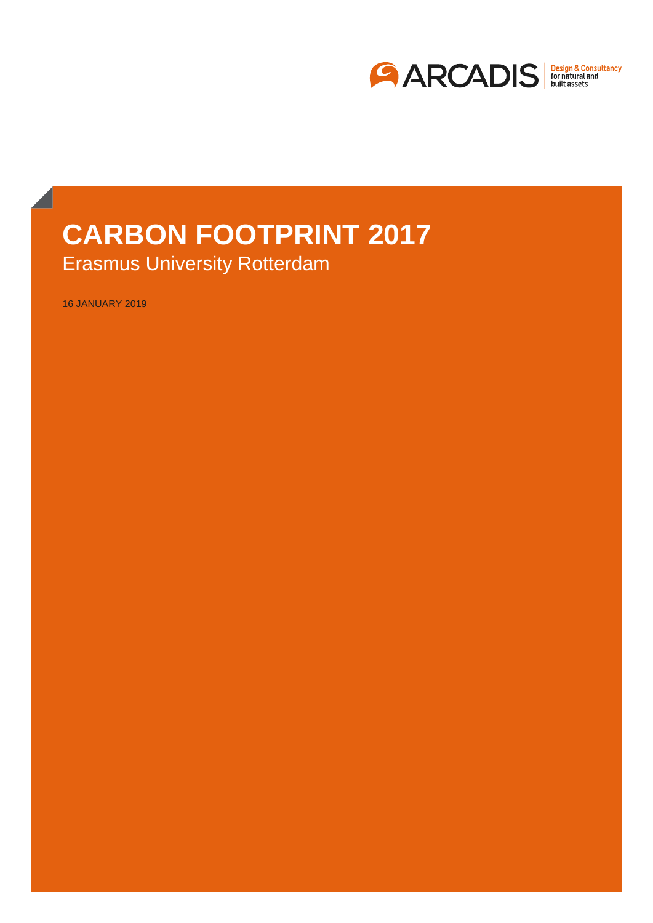

# **CARBON FOOTPRINT 2017** Erasmus University Rotterdam

16 JANUARY 2019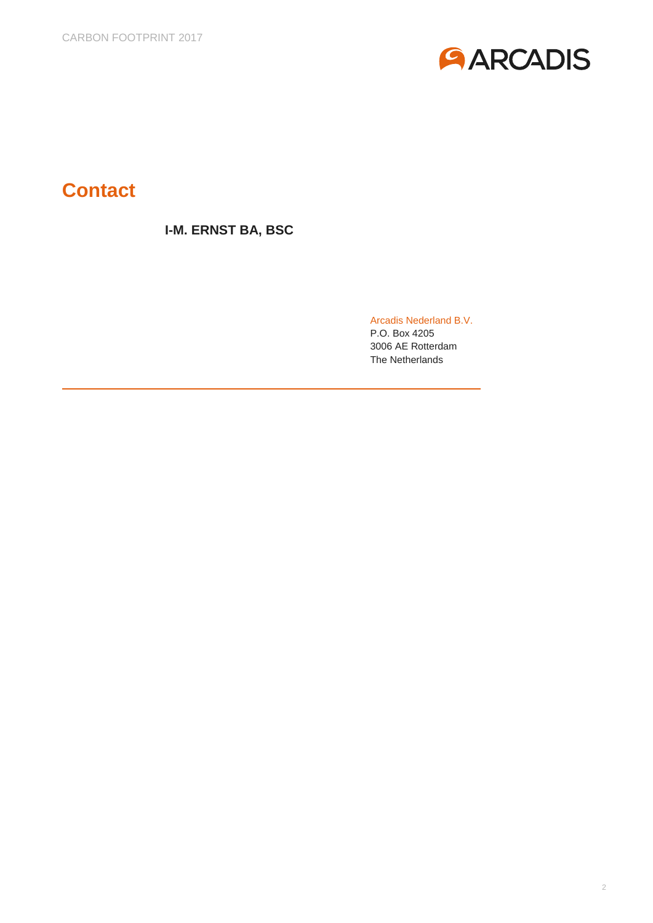

# **Contact**

### **I-M. ERNST BA, BSC**

Arcadis Nederland B.V.

P.O. Box 4205 3006 AE Rotterdam The Netherlands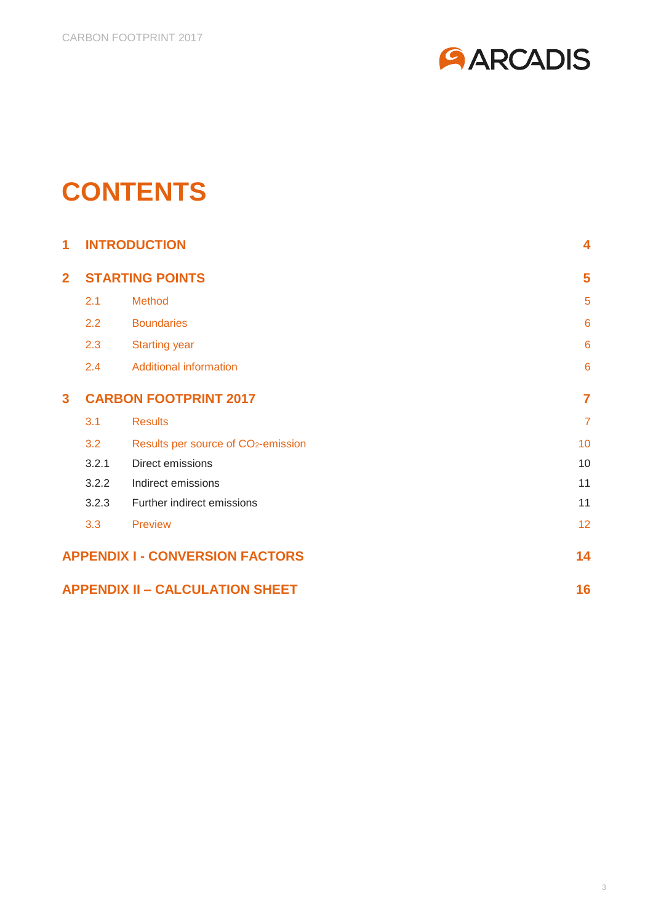

# **CONTENTS**

| 1              | <b>INTRODUCTION</b>          |                                                 |                 |  |  |
|----------------|------------------------------|-------------------------------------------------|-----------------|--|--|
| $\overline{2}$ | <b>STARTING POINTS</b>       |                                                 |                 |  |  |
|                | 2.1                          | <b>Method</b>                                   | 5               |  |  |
|                | 2.2                          | <b>Boundaries</b>                               | $6\phantom{1}6$ |  |  |
|                | 2.3                          | <b>Starting year</b>                            | $6\phantom{1}6$ |  |  |
|                | 2.4                          | <b>Additional information</b>                   | $6\phantom{1}6$ |  |  |
| $\mathbf{3}$   | <b>CARBON FOOTPRINT 2017</b> | $\overline{7}$                                  |                 |  |  |
|                | 3.1                          | <b>Results</b>                                  | $\overline{7}$  |  |  |
|                | 3.2                          | Results per source of CO <sub>2</sub> -emission | 10              |  |  |
|                | 3.2.1                        | Direct emissions                                | 10              |  |  |
|                | 3.2.2                        | Indirect emissions                              | 11              |  |  |
|                | 3.2.3                        | Further indirect emissions                      | 11              |  |  |
|                | 3.3                          | Preview                                         | 12              |  |  |
|                |                              | <b>APPENDIX I - CONVERSION FACTORS</b>          | 14              |  |  |
|                |                              | <b>APPENDIX II - CALCULATION SHEET</b>          | 16              |  |  |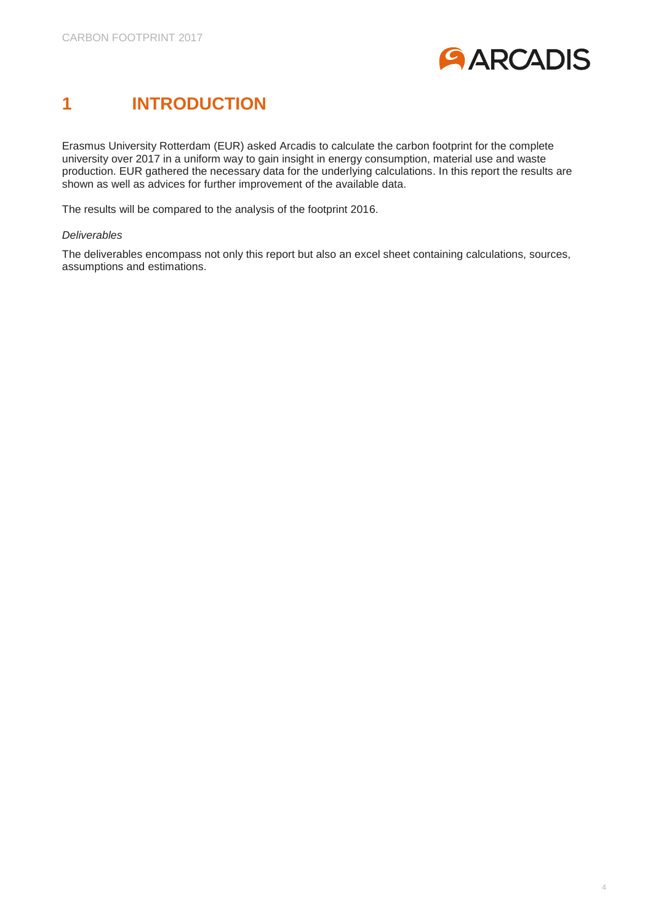

# <span id="page-3-0"></span>**1 INTRODUCTION**

Erasmus University Rotterdam (EUR) asked Arcadis to calculate the carbon footprint for the complete university over 2017 in a uniform way to gain insight in energy consumption, material use and waste production. EUR gathered the necessary data for the underlying calculations. In this report the results are shown as well as advices for further improvement of the available data.

The results will be compared to the analysis of the footprint 2016.

#### *Deliverables*

The deliverables encompass not only this report but also an excel sheet containing calculations, sources, assumptions and estimations.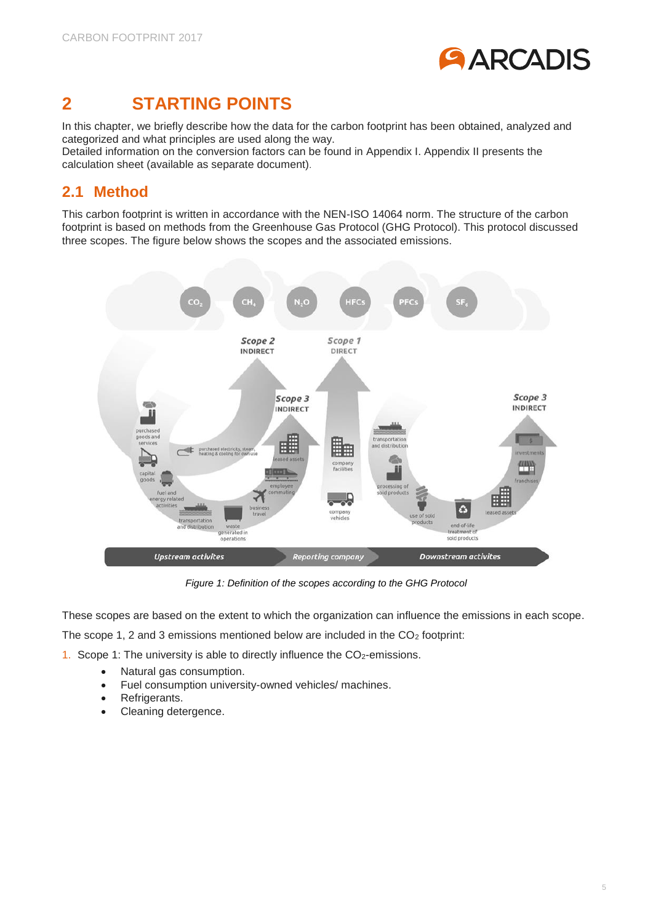

## <span id="page-4-0"></span>**2 STARTING POINTS**

In this chapter, we briefly describe how the data for the carbon footprint has been obtained, analyzed and categorized and what principles are used along the way.

Detailed information on the conversion factors can be found in Appendix I. Appendix II presents the calculation sheet (available as separate document).

### <span id="page-4-1"></span>**2.1 Method**

This carbon footprint is written in accordance with the NEN-ISO 14064 norm. The structure of the carbon footprint is based on methods from the Greenhouse Gas Protocol (GHG Protocol). This protocol discussed three scopes. The figure below shows the scopes and the associated emissions.



*Figure 1: Definition of the scopes according to the GHG Protocol*

These scopes are based on the extent to which the organization can influence the emissions in each scope.

The scope 1, 2 and 3 emissions mentioned below are included in the  $CO<sub>2</sub>$  footprint:

1. Scope 1: The university is able to directly influence the  $CO<sub>2</sub>$ -emissions.

- Natural gas consumption.
- Fuel consumption university-owned vehicles/ machines.
- Refrigerants.
- Cleaning detergence.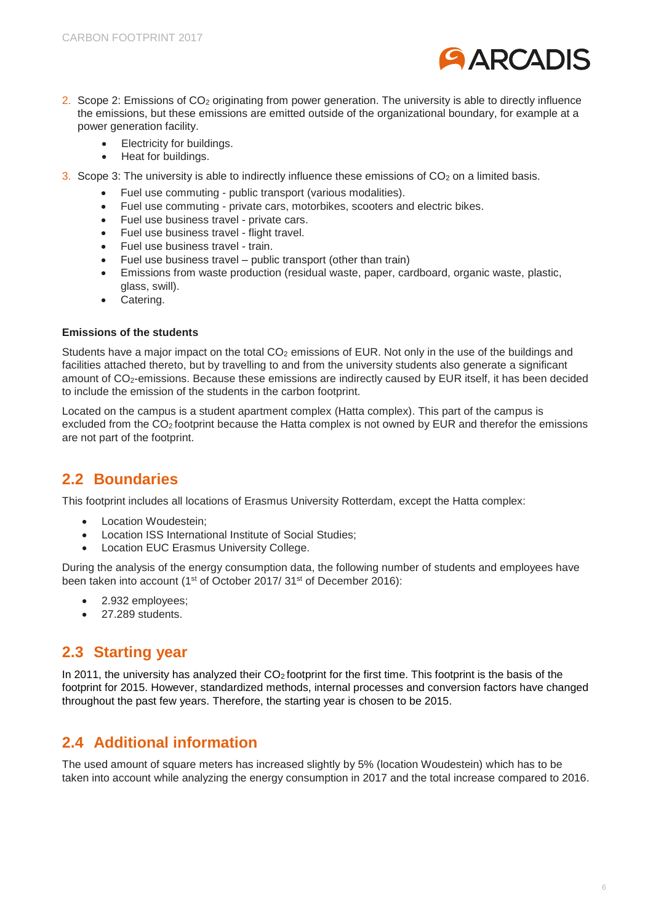

- 2. Scope 2: Emissions of CO<sub>2</sub> originating from power generation. The university is able to directly influence the emissions, but these emissions are emitted outside of the organizational boundary, for example at a power generation facility.
	- Electricity for buildings.
	- Heat for buildings.
- 3. Scope 3: The university is able to indirectly influence these emissions of  $CO<sub>2</sub>$  on a limited basis.
	- Fuel use commuting public transport (various modalities).
	- Fuel use commuting private cars, motorbikes, scooters and electric bikes.
	- Fuel use business travel private cars.
	- Fuel use business travel flight travel.
	- Fuel use business travel train.
	- Fuel use business travel public transport (other than train)
	- Emissions from waste production (residual waste, paper, cardboard, organic waste, plastic, glass, swill).
	- Catering.

#### **Emissions of the students**

Students have a major impact on the total  $CO<sub>2</sub>$  emissions of EUR. Not only in the use of the buildings and facilities attached thereto, but by travelling to and from the university students also generate a significant amount of CO2-emissions. Because these emissions are indirectly caused by EUR itself, it has been decided to include the emission of the students in the carbon footprint.

Located on the campus is a student apartment complex (Hatta complex). This part of the campus is excluded from the CO<sub>2</sub> footprint because the Hatta complex is not owned by EUR and therefor the emissions are not part of the footprint.

### <span id="page-5-0"></span>**2.2 Boundaries**

This footprint includes all locations of Erasmus University Rotterdam, except the Hatta complex:

- Location Woudestein;
- Location ISS International Institute of Social Studies;
- Location EUC Erasmus University College.

During the analysis of the energy consumption data, the following number of students and employees have been taken into account (1<sup>st</sup> of October 2017/ 31<sup>st</sup> of December 2016):

- 2.932 employees;
- 27.289 students.

### <span id="page-5-1"></span>**2.3 Starting year**

In 2011, the university has analyzed their  $CO<sub>2</sub>$  footprint for the first time. This footprint is the basis of the footprint for 2015. However, standardized methods, internal processes and conversion factors have changed throughout the past few years. Therefore, the starting year is chosen to be 2015.

### <span id="page-5-2"></span>**2.4 Additional information**

The used amount of square meters has increased slightly by 5% (location Woudestein) which has to be taken into account while analyzing the energy consumption in 2017 and the total increase compared to 2016.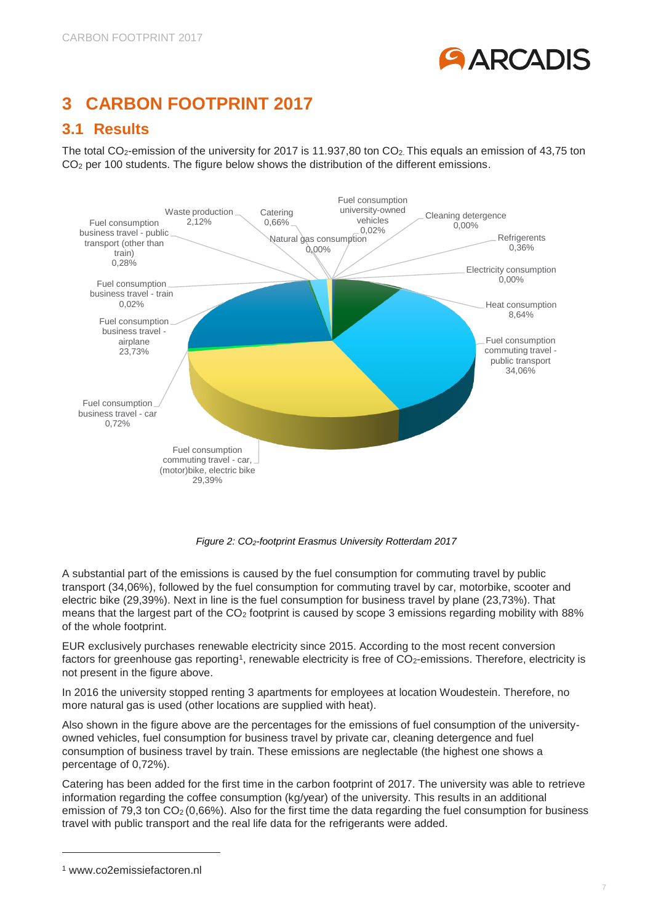

## <span id="page-6-0"></span>**3 CARBON FOOTPRINT 2017**

### <span id="page-6-1"></span>**3.1 Results**

The total CO<sub>2</sub>-emission of the university for 2017 is 11.937,80 ton CO<sub>2</sub>. This equals an emission of 43,75 ton CO<sub>2</sub> per 100 students. The figure below shows the distribution of the different emissions.



*Figure 2: CO2-footprint Erasmus University Rotterdam 2017*

A substantial part of the emissions is caused by the fuel consumption for commuting travel by public transport (34,06%), followed by the fuel consumption for commuting travel by car, motorbike, scooter and electric bike (29,39%). Next in line is the fuel consumption for business travel by plane (23,73%). That means that the largest part of the CO<sup>2</sup> footprint is caused by scope 3 emissions regarding mobility with 88% of the whole footprint.

EUR exclusively purchases renewable electricity since 2015. According to the most recent conversion factors for greenhouse gas reporting<sup>1</sup>, renewable electricity is free of  $CO<sub>2</sub>$ -emissions. Therefore, electricity is not present in the figure above.

In 2016 the university stopped renting 3 apartments for employees at location Woudestein. Therefore, no more natural gas is used (other locations are supplied with heat).

Also shown in the figure above are the percentages for the emissions of fuel consumption of the universityowned vehicles, fuel consumption for business travel by private car, cleaning detergence and fuel consumption of business travel by train. These emissions are neglectable (the highest one shows a percentage of 0,72%).

Catering has been added for the first time in the carbon footprint of 2017. The university was able to retrieve information regarding the coffee consumption (kg/year) of the university. This results in an additional emission of 79.3 ton  $CO<sub>2</sub> (0.66%)$ . Also for the first time the data regarding the fuel consumption for business travel with public transport and the real life data for the refrigerants were added.

-

<sup>1</sup> www.co2emissiefactoren.nl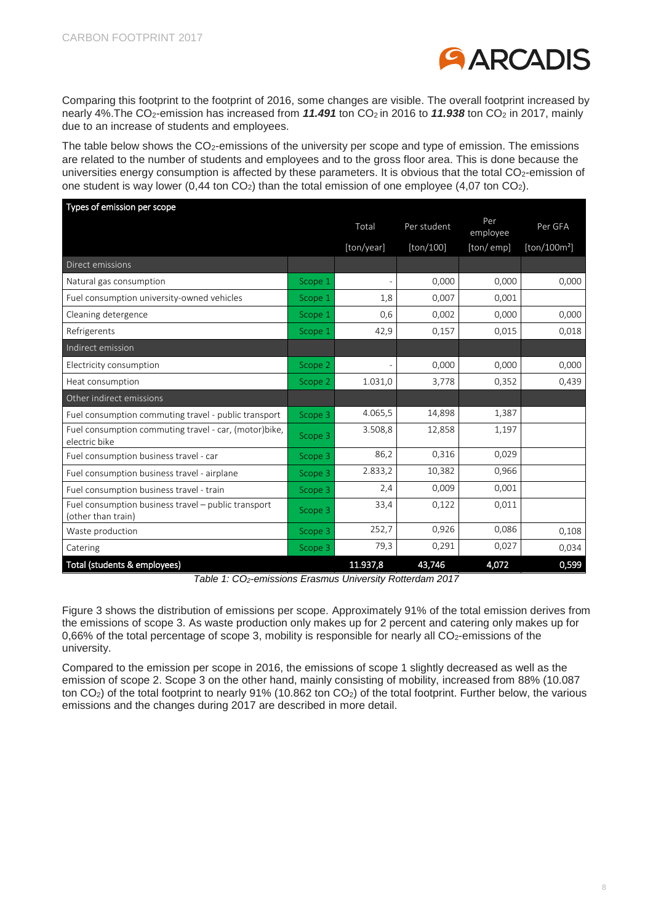

Comparing this footprint to the footprint of 2016, some changes are visible. The overall footprint increased by nearly 4%. The CO<sub>2</sub>-emission has increased from 11.491 ton CO<sub>2</sub> in 2016 to 11.938 ton CO<sub>2</sub> in 2017, mainly due to an increase of students and employees.

The table below shows the  $CO<sub>2</sub>$ -emissions of the university per scope and type of emission. The emissions are related to the number of students and employees and to the gross floor area. This is done because the universities energy consumption is affected by these parameters. It is obvious that the total CO<sub>2</sub>-emission of one student is way lower  $(0,44 \text{ ton } CO<sub>2</sub>)$  than the total emission of one employee  $(4,07 \text{ ton } CO<sub>2</sub>)$ .

| Types of emission per scope                                               |         |            |             |                 |                          |
|---------------------------------------------------------------------------|---------|------------|-------------|-----------------|--------------------------|
|                                                                           |         | Total      | Per student | Per<br>employee | Per GFA                  |
|                                                                           |         | [ton/year] | [ton/100]   | [ton/emp]       | [ton/100m <sup>2</sup> ] |
| Direct emissions                                                          |         |            |             |                 |                          |
| Natural gas consumption                                                   | Scope 1 |            | 0,000       | 0,000           | 0,000                    |
| Fuel consumption university-owned vehicles                                | Scope 1 | 1,8        | 0,007       | 0,001           |                          |
| Cleaning detergence                                                       | Scope 1 | 0,6        | 0,002       | 0,000           | 0,000                    |
| Refrigerents                                                              | Scope 1 | 42,9       | 0,157       | 0,015           | 0,018                    |
| Indirect emission                                                         |         |            |             |                 |                          |
| Electricity consumption                                                   | Scope 2 |            | 0,000       | 0,000           | 0,000                    |
| Heat consumption                                                          | Scope 2 | 1.031,0    | 3,778       | 0,352           | 0,439                    |
| Other indirect emissions                                                  |         |            |             |                 |                          |
| Fuel consumption commuting travel - public transport                      | Scope 3 | 4.065,5    | 14,898      | 1,387           |                          |
| Fuel consumption commuting travel - car, (motor)bike,<br>electric bike    | Scope 3 | 3.508,8    | 12,858      | 1,197           |                          |
| Fuel consumption business travel - car                                    | Scope 3 | 86,2       | 0,316       | 0,029           |                          |
| Fuel consumption business travel - airplane                               | Scope 3 | 2.833,2    | 10,382      | 0,966           |                          |
| Fuel consumption business travel - train                                  | Scope 3 | 2,4        | 0,009       | 0,001           |                          |
| Fuel consumption business travel - public transport<br>(other than train) | Scope 3 | 33,4       | 0,122       | 0,011           |                          |
| Waste production                                                          | Scope 3 | 252,7      | 0,926       | 0,086           | 0,108                    |
| Catering                                                                  | Scope 3 | 79,3       | 0,291       | 0,027           | 0,034                    |
| Total (students & employees)                                              |         | 11.937,8   | 43,746      | 4,072           | 0,599                    |

*Table 1: CO2-emissions Erasmus University Rotterdam 2017*

Figure 3 shows the distribution of emissions per scope. Approximately 91% of the total emission derives from the emissions of scope 3. As waste production only makes up for 2 percent and catering only makes up for 0,66% of the total percentage of scope 3, mobility is responsible for nearly all  $CO<sub>2</sub>$ -emissions of the university.

Compared to the emission per scope in 2016, the emissions of scope 1 slightly decreased as well as the emission of scope 2. Scope 3 on the other hand, mainly consisting of mobility, increased from 88% (10.087 ton CO<sub>2</sub>) of the total footprint to nearly 91% (10.862 ton CO<sub>2</sub>) of the total footprint. Further below, the various emissions and the changes during 2017 are described in more detail.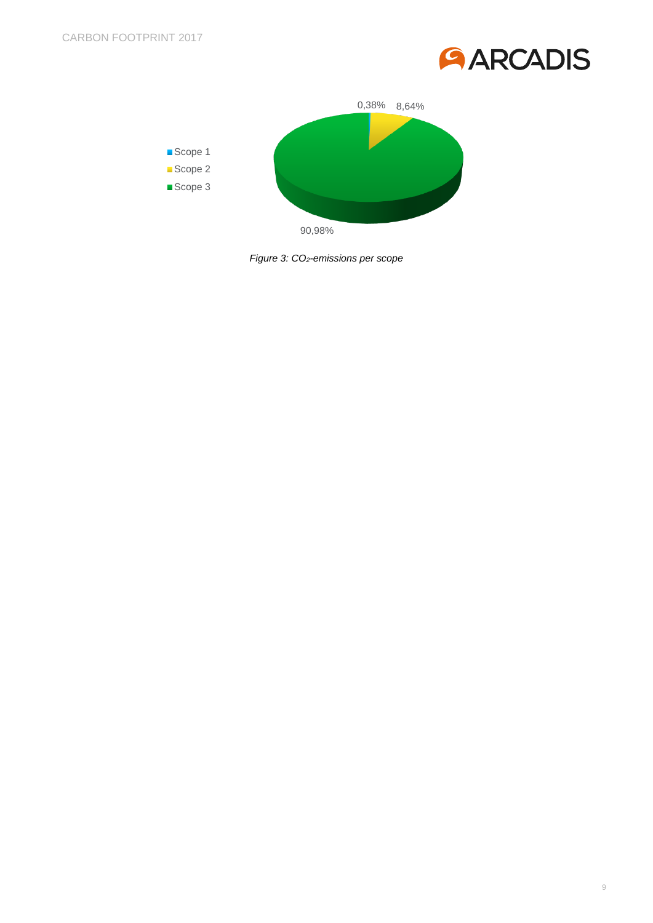



*Figure 3: CO2-emissions per scope*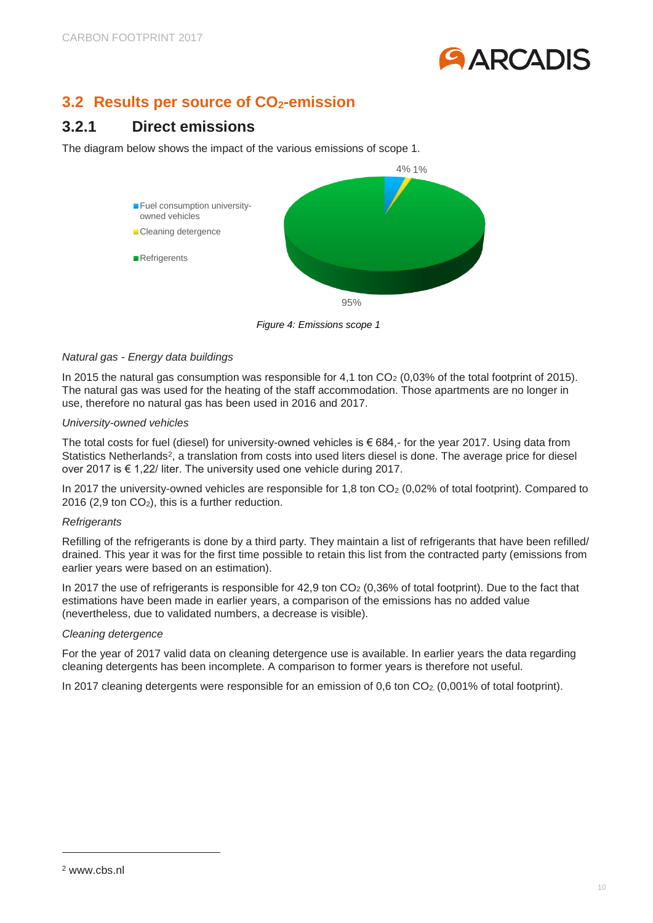

### <span id="page-9-0"></span>**3.2 Results per source of CO2-emission**

### <span id="page-9-1"></span>**3.2.1 Direct emissions**

The diagram below shows the impact of the various emissions of scope 1.



*Figure 4: Emissions scope 1*

### *Natural gas - Energy data buildings*

In 2015 the natural gas consumption was responsible for 4,1 ton CO<sub>2</sub> (0,03% of the total footprint of 2015). The natural gas was used for the heating of the staff accommodation. Those apartments are no longer in use, therefore no natural gas has been used in 2016 and 2017.

#### *University-owned vehicles*

The total costs for fuel (diesel) for university-owned vehicles is  $\epsilon$  684,- for the year 2017. Using data from Statistics Netherlands<sup>2</sup>, a translation from costs into used liters diesel is done. The average price for diesel over 2017 is € 1,22/ liter. The university used one vehicle during 2017.

In 2017 the university-owned vehicles are responsible for 1,8 ton CO<sub>2</sub> (0,02% of total footprint). Compared to 2016 (2,9 ton  $CO<sub>2</sub>$ ), this is a further reduction.

### *Refrigerants*

Refilling of the refrigerants is done by a third party. They maintain a list of refrigerants that have been refilled/ drained. This year it was for the first time possible to retain this list from the contracted party (emissions from earlier years were based on an estimation).

In 2017 the use of refrigerants is responsible for 42,9 ton CO<sub>2</sub> (0,36% of total footprint). Due to the fact that estimations have been made in earlier years, a comparison of the emissions has no added value (nevertheless, due to validated numbers, a decrease is visible).

#### *Cleaning detergence*

For the year of 2017 valid data on cleaning detergence use is available. In earlier years the data regarding cleaning detergents has been incomplete. A comparison to former years is therefore not useful.

In 2017 cleaning detergents were responsible for an emission of  $0.6$  ton  $CO<sub>2</sub>$  (0,001% of total footprint).

-

<sup>2</sup> www.cbs.nl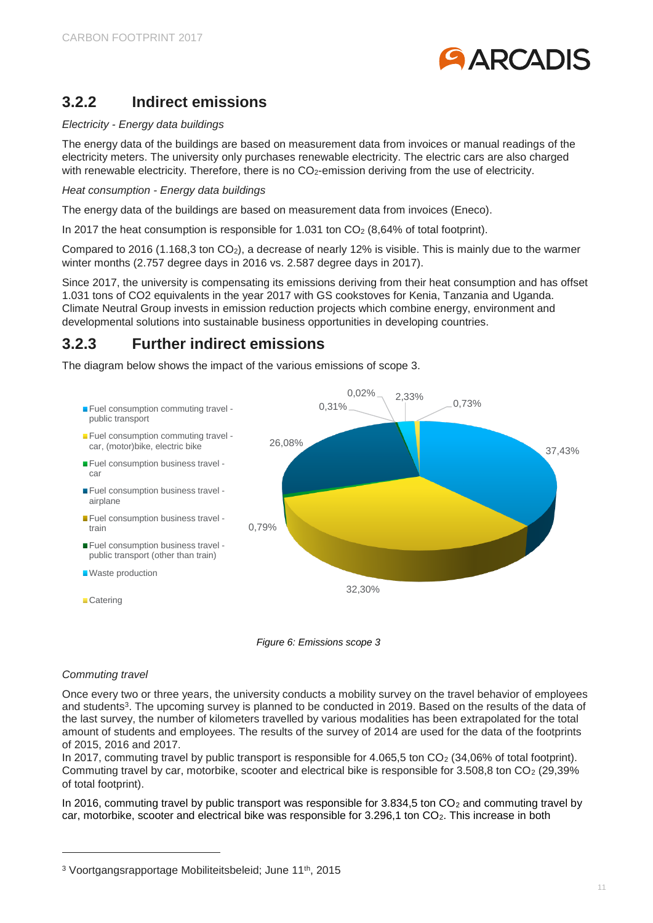

### <span id="page-10-0"></span>**3.2.2 Indirect emissions**

#### *Electricity - Energy data buildings*

The energy data of the buildings are based on measurement data from invoices or manual readings of the electricity meters. The university only purchases renewable electricity. The electric cars are also charged with renewable electricity. Therefore, there is no CO<sub>2</sub>-emission deriving from the use of electricity.

*Heat consumption - Energy data buildings*

The energy data of the buildings are based on measurement data from invoices (Eneco).

In 2017 the heat consumption is responsible for 1.031 ton  $CO<sub>2</sub>$  (8,64% of total footprint).

Compared to 2016 (1.168,3 ton CO<sub>2</sub>), a decrease of nearly 12% is visible. This is mainly due to the warmer winter months (2.757 degree days in 2016 vs. 2.587 degree days in 2017).

Since 2017, the university is compensating its emissions deriving from their heat consumption and has offset 1.031 tons of CO2 equivalents in the year 2017 with GS cookstoves for Kenia, Tanzania and Uganda. Climate Neutral Group invests in emission reduction projects which combine energy, environment and developmental solutions into sustainable business opportunities in developing countries.

### <span id="page-10-1"></span>**3.2.3 Further indirect emissions**

The diagram below shows the impact of the various emissions of scope 3.





### *Commuting travel*

-

Once every two or three years, the university conducts a mobility survey on the travel behavior of employees and students<sup>3</sup>. The upcoming survey is planned to be conducted in 2019. Based on the results of the data of the last survey, the number of kilometers travelled by various modalities has been extrapolated for the total amount of students and employees. The results of the survey of 2014 are used for the data of the footprints of 2015, 2016 and 2017.

In 2017, commuting travel by public transport is responsible for  $4.065,5$  ton  $CO<sub>2</sub>$  (34,06% of total footprint). Commuting travel by car, motorbike, scooter and electrical bike is responsible for 3.508,8 ton CO<sup>2</sup> (29,39% of total footprint).

In 2016, commuting travel by public transport was responsible for 3.834,5 ton CO<sub>2</sub> and commuting travel by car, motorbike, scooter and electrical bike was responsible for 3.296,1 ton CO<sub>2</sub>. This increase in both

<sup>&</sup>lt;sup>3</sup> Voortgangsrapportage Mobiliteitsbeleid; June 11<sup>th</sup>, 2015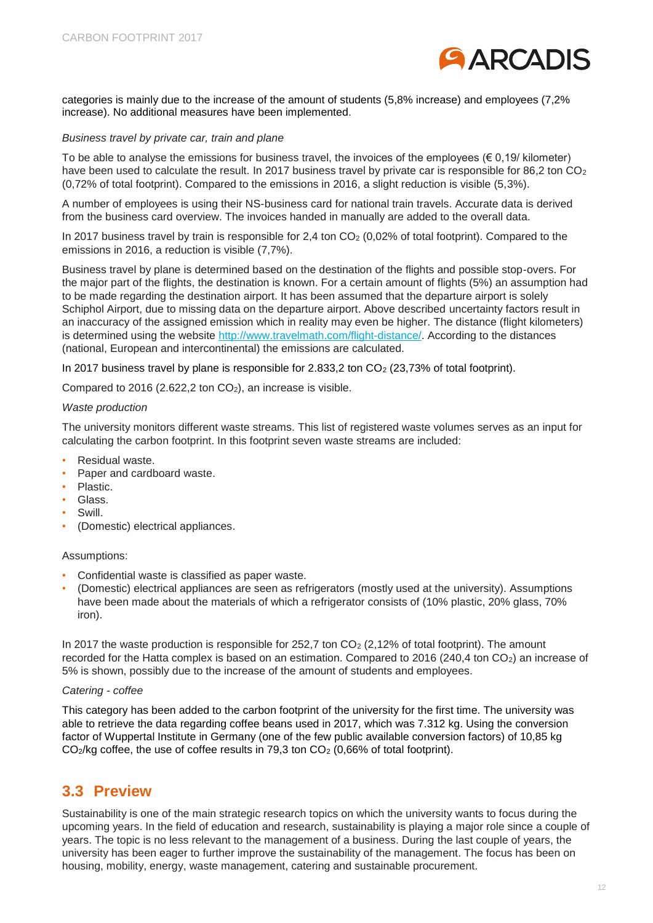

categories is mainly due to the increase of the amount of students (5,8% increase) and employees (7,2% increase). No additional measures have been implemented.

#### *Business travel by private car, train and plane*

To be able to analyse the emissions for business travel, the invoices of the employees  $(6, 0, 19$ / kilometer) have been used to calculate the result. In 2017 business travel by private car is responsible for 86,2 ton CO<sub>2</sub> (0,72% of total footprint). Compared to the emissions in 2016, a slight reduction is visible (5,3%).

A number of employees is using their NS-business card for national train travels. Accurate data is derived from the business card overview. The invoices handed in manually are added to the overall data.

In 2017 business travel by train is responsible for 2,4 ton  $CO<sub>2</sub>$  (0,02% of total footprint). Compared to the emissions in 2016, a reduction is visible (7,7%).

Business travel by plane is determined based on the destination of the flights and possible stop-overs. For the major part of the flights, the destination is known. For a certain amount of flights (5%) an assumption had to be made regarding the destination airport. It has been assumed that the departure airport is solely Schiphol Airport, due to missing data on the departure airport. Above described uncertainty factors result in an inaccuracy of the assigned emission which in reality may even be higher. The distance (flight kilometers) is determined using the website http://www.travelmath.com/flight-distance/. According to the distances (national, European and intercontinental) the emissions are calculated.

In 2017 business travel by plane is responsible for  $2.833,2$  ton  $CO<sub>2</sub>$  (23,73% of total footprint).

Compared to 2016 (2.622,2 ton  $CO<sub>2</sub>$ ), an increase is visible.

#### *Waste production*

The university monitors different waste streams. This list of registered waste volumes serves as an input for calculating the carbon footprint. In this footprint seven waste streams are included:

- Residual waste.
- Paper and cardboard waste.
- Plastic.
- Glass.
- Swill.
- (Domestic) electrical appliances.

#### Assumptions:

- Confidential waste is classified as paper waste.
- (Domestic) electrical appliances are seen as refrigerators (mostly used at the university). Assumptions have been made about the materials of which a refrigerator consists of (10% plastic, 20% glass, 70% iron).

In 2017 the waste production is responsible for 252,7 ton  $CO<sub>2</sub>$  (2,12% of total footprint). The amount recorded for the Hatta complex is based on an estimation. Compared to 2016 (240,4 ton CO2) an increase of 5% is shown, possibly due to the increase of the amount of students and employees.

#### *Catering - coffee*

This category has been added to the carbon footprint of the university for the first time. The university was able to retrieve the data regarding coffee beans used in 2017, which was 7.312 kg. Using the conversion factor of Wuppertal Institute in Germany (one of the few public available conversion factors) of 10,85 kg  $CO<sub>2</sub>/kg$  coffee, the use of coffee results in 79,3 ton  $CO<sub>2</sub>$  (0,66% of total footprint).

### <span id="page-11-0"></span>**3.3 Preview**

Sustainability is one of the main strategic research topics on which the university wants to focus during the upcoming years. In the field of education and research, sustainability is playing a major role since a couple of years. The topic is no less relevant to the management of a business. During the last couple of years, the university has been eager to further improve the sustainability of the management. The focus has been on housing, mobility, energy, waste management, catering and sustainable procurement.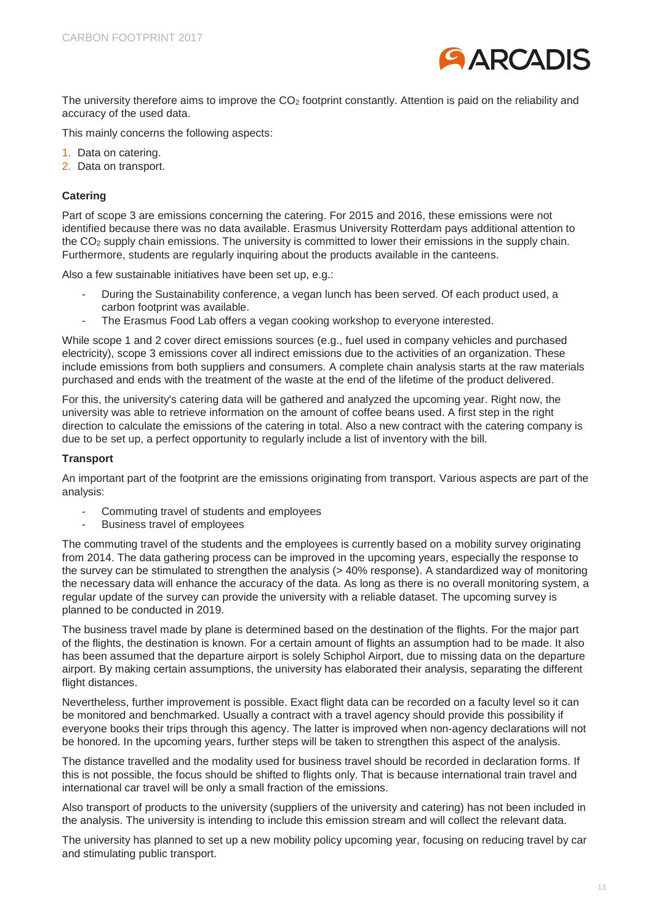

The university therefore aims to improve the CO<sub>2</sub> footprint constantly. Attention is paid on the reliability and accuracy of the used data.

This mainly concerns the following aspects:

- 1. Data on catering.
- 2. Data on transport.

#### **Catering**

Part of scope 3 are emissions concerning the catering. For 2015 and 2016, these emissions were not identified because there was no data available. Erasmus University Rotterdam pays additional attention to the  $CO<sub>2</sub>$  supply chain emissions. The university is committed to lower their emissions in the supply chain. Furthermore, students are regularly inquiring about the products available in the canteens.

Also a few sustainable initiatives have been set up, e.g.:

- During the Sustainability conference, a vegan lunch has been served. Of each product used, a carbon footprint was available.
- The Erasmus Food Lab offers a vegan cooking workshop to everyone interested.

While scope 1 and 2 cover direct emissions sources (e.g., fuel used in company vehicles and purchased electricity), scope 3 emissions cover all indirect emissions due to the activities of an organization. These include emissions from both suppliers and consumers. A complete chain analysis starts at the raw materials purchased and ends with the treatment of the waste at the end of the lifetime of the product delivered.

For this, the university's catering data will be gathered and analyzed the upcoming year. Right now, the university was able to retrieve information on the amount of coffee beans used. A first step in the right direction to calculate the emissions of the catering in total. Also a new contract with the catering company is due to be set up, a perfect opportunity to regularly include a list of inventory with the bill.

#### **Transport**

An important part of the footprint are the emissions originating from transport. Various aspects are part of the analysis:

- Commuting travel of students and employees
- Business travel of employees

The commuting travel of the students and the employees is currently based on a mobility survey originating from 2014. The data gathering process can be improved in the upcoming years, especially the response to the survey can be stimulated to strengthen the analysis (> 40% response). A standardized way of monitoring the necessary data will enhance the accuracy of the data. As long as there is no overall monitoring system, a regular update of the survey can provide the university with a reliable dataset. The upcoming survey is planned to be conducted in 2019.

The business travel made by plane is determined based on the destination of the flights. For the major part of the flights, the destination is known. For a certain amount of flights an assumption had to be made. It also has been assumed that the departure airport is solely Schiphol Airport, due to missing data on the departure airport. By making certain assumptions, the university has elaborated their analysis, separating the different flight distances.

Nevertheless, further improvement is possible. Exact flight data can be recorded on a faculty level so it can be monitored and benchmarked. Usually a contract with a travel agency should provide this possibility if everyone books their trips through this agency. The latter is improved when non-agency declarations will not be honored. In the upcoming years, further steps will be taken to strengthen this aspect of the analysis.

The distance travelled and the modality used for business travel should be recorded in declaration forms. If this is not possible, the focus should be shifted to flights only. That is because international train travel and international car travel will be only a small fraction of the emissions.

Also transport of products to the university (suppliers of the university and catering) has not been included in the analysis. The university is intending to include this emission stream and will collect the relevant data.

The university has planned to set up a new mobility policy upcoming year, focusing on reducing travel by car and stimulating public transport.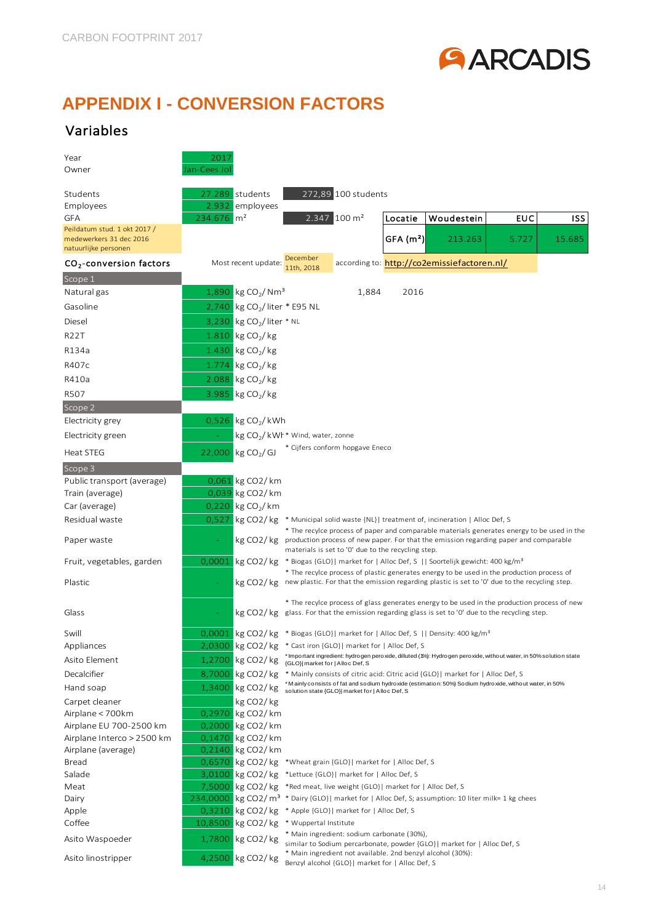

# <span id="page-13-0"></span>**APPENDIX I - CONVERSION FACTORS**

### Variables

| Year                                | 2017                     |                                             |                                              |                                                                                                               |                      |                                                                                                                   |       |        |
|-------------------------------------|--------------------------|---------------------------------------------|----------------------------------------------|---------------------------------------------------------------------------------------------------------------|----------------------|-------------------------------------------------------------------------------------------------------------------|-------|--------|
| Owner                               | Jan-Cees Jol             |                                             |                                              |                                                                                                               |                      |                                                                                                                   |       |        |
|                                     |                          |                                             |                                              |                                                                                                               |                      |                                                                                                                   |       |        |
| Students                            |                          | 27.289 students                             |                                              | 272,89 100 students                                                                                           |                      |                                                                                                                   |       |        |
| Employees<br>GFA                    | 234.676   m <sup>2</sup> | 2.932 employees                             |                                              | 2.347 100 m <sup>2</sup>                                                                                      |                      | Woudestein                                                                                                        |       |        |
| Peildatum stud. 1 okt 2017 /        |                          |                                             |                                              |                                                                                                               | Locatie              |                                                                                                                   | EUC   | ISS    |
| medewerkers 31 dec 2016             |                          |                                             |                                              |                                                                                                               | GFA(m <sup>2</sup> ) | 213.263                                                                                                           | 5.727 | 15.685 |
| natuurlijke personen                |                          |                                             |                                              |                                                                                                               |                      |                                                                                                                   |       |        |
| CO <sub>2</sub> -conversion factors |                          | Most recent update:                         | December<br>11th. 2018                       |                                                                                                               |                      | according to: http://co2emissiefactoren.nl/                                                                       |       |        |
| Scope 1                             |                          |                                             |                                              |                                                                                                               |                      |                                                                                                                   |       |        |
| Natural gas                         |                          | 1,890 kg CO <sub>2</sub> / Nm <sup>3</sup>  |                                              | 1,884                                                                                                         | 2016                 |                                                                                                                   |       |        |
| Gasoline                            |                          | 2,740 kg CO <sub>2</sub> / liter $*$ E95 NL |                                              |                                                                                                               |                      |                                                                                                                   |       |        |
| Diesel                              |                          | 3,230 kg $CO2/$ liter * NL                  |                                              |                                                                                                               |                      |                                                                                                                   |       |        |
| <b>R22T</b>                         |                          | 1.810 kg $CO_2$ / kg                        |                                              |                                                                                                               |                      |                                                                                                                   |       |        |
| R134a                               |                          | 1.430 kg $CO_2$ / kg                        |                                              |                                                                                                               |                      |                                                                                                                   |       |        |
| R407c                               |                          | 1.774 kg $CO_2$ / kg                        |                                              |                                                                                                               |                      |                                                                                                                   |       |        |
| R410a                               |                          | 2.088 kg $CO2/kg$                           |                                              |                                                                                                               |                      |                                                                                                                   |       |        |
| R507                                |                          | 3.985 kg $CO_2$ / kg                        |                                              |                                                                                                               |                      |                                                                                                                   |       |        |
| Scope 2                             |                          |                                             |                                              |                                                                                                               |                      |                                                                                                                   |       |        |
| Electricity grey                    |                          | 0,526 kg $CO_2$ / kWh                       |                                              |                                                                                                               |                      |                                                                                                                   |       |        |
| Electricity green                   |                          |                                             | kg CO <sub>2</sub> /kWl * Wind, water, zonne |                                                                                                               |                      |                                                                                                                   |       |        |
| <b>Heat STEG</b>                    |                          | 22,000 kg CO <sub>2</sub> / GJ              |                                              | * Cijfers conform hopgave Eneco                                                                               |                      |                                                                                                                   |       |        |
| Scope 3                             |                          |                                             |                                              |                                                                                                               |                      |                                                                                                                   |       |        |
| Public transport (average)          |                          | 0,061 kg CO2/km                             |                                              |                                                                                                               |                      |                                                                                                                   |       |        |
| Train (average)                     |                          | 0,039 kg CO2/km                             |                                              |                                                                                                               |                      |                                                                                                                   |       |        |
| Car (average)                       |                          | 0,220 kg $CO_2$ / km                        |                                              |                                                                                                               |                      |                                                                                                                   |       |        |
| Residual waste                      |                          | $0,527$ kg CO2/kg                           |                                              |                                                                                                               |                      | * Municipal solid waste {NL}  treatment of, incineration   Alloc Def, S                                           |       |        |
|                                     |                          |                                             |                                              |                                                                                                               |                      | * The recylce process of paper and comparable materials generates energy to be used in the                        |       |        |
| Paper waste                         |                          |                                             |                                              | materials is set to '0' due to the recycling step.                                                            |                      | kg CO2/kg production process of new paper. For that the emission regarding paper and comparable                   |       |        |
| Fruit, vegetables, garden           | 0,0001                   | kg CO2/kg                                   |                                              |                                                                                                               |                      | * Biogas {GLO}  market for   Alloc Def, S    Soortelijk gewicht: 400 kg/m <sup>3</sup>                            |       |        |
|                                     |                          |                                             |                                              |                                                                                                               |                      | * The recylce process of plastic generates energy to be used in the production process of                         |       |        |
| Plastic                             |                          | kg CO2/kg                                   |                                              |                                                                                                               |                      | new plastic. For that the emission regarding plastic is set to '0' due to the recycling step.                     |       |        |
|                                     |                          |                                             |                                              |                                                                                                               |                      | * The recylce process of glass generates energy to be used in the production process of new                       |       |        |
| Glass                               |                          |                                             |                                              |                                                                                                               |                      | kg CO2/kg glass. For that the emission regarding glass is set to '0' due to the recycling step.                   |       |        |
| Swill                               |                          |                                             |                                              |                                                                                                               |                      | $0,0001$ kg CO2/kg * Biogas {GLO}  market for   Alloc Def, S    Density: 400 kg/m <sup>3</sup>                    |       |        |
| Appliances                          |                          |                                             |                                              | 2,0300 kg CO2/kg * Cast iron {GLO}  market for   Alloc Def, S                                                 |                      |                                                                                                                   |       |        |
| Asito Element                       |                          | 1,2700 kg CO2/kg                            | {GLO}  market for   Alloc Def, S             |                                                                                                               |                      | * Important ingredient: hydrogen peroxide, dilluted (1%): Hydrogen peroxide, without water, in 50% solution state |       |        |
| Decalcifier                         |                          | 8,7000 kg CO2/kg                            |                                              |                                                                                                               |                      | * Mainly consists of citric acid: Citric acid {GLO}  market for   Alloc Def, S                                    |       |        |
| Hand soap                           |                          | 1,3400 kg CO2/kg                            |                                              | solution state {GLO}  market for   Alloc Def, S                                                               |                      | *Mainly consists of fat and sodium hydroxide (estimation: 50%) Sodium hydroxide, without water, in 50%            |       |        |
| Carpet cleaner                      |                          | kg CO <sub>2</sub> /kg                      |                                              |                                                                                                               |                      |                                                                                                                   |       |        |
| Airplane < 700km                    |                          | 0,2970 kg CO2/km                            |                                              |                                                                                                               |                      |                                                                                                                   |       |        |
| Airplane EU 700-2500 km             |                          | 0,2000 kg CO2/km                            |                                              |                                                                                                               |                      |                                                                                                                   |       |        |
| Airplane Interco > 2500 km          |                          | 0,1470 kg CO2/km                            |                                              |                                                                                                               |                      |                                                                                                                   |       |        |
| Airplane (average)                  |                          | 0,2140 kg CO2/km                            |                                              |                                                                                                               |                      |                                                                                                                   |       |        |
| Bread                               |                          |                                             |                                              | 0,6570 kg CO2/kg *Wheat grain {GLO}  market for   Alloc Def, S                                                |                      |                                                                                                                   |       |        |
| Salade                              |                          |                                             |                                              | 3,0100 kg CO2/kg *Lettuce {GLO}  market for   Alloc Def, S                                                    |                      |                                                                                                                   |       |        |
| Meat                                |                          |                                             |                                              | 7,5000 kg CO2/kg *Red meat, live weight {GLO}  market for   Alloc Def, S                                      |                      |                                                                                                                   |       |        |
| Dairy                               |                          |                                             |                                              |                                                                                                               |                      | 234,0000 kg CO2/ m <sup>3</sup> * Dairy {GLO}  market for   Alloc Def, S; assumption: 10 liter milk= 1 kg chees   |       |        |
| Apple                               |                          |                                             |                                              | 0,3210 kg CO2/kg * Apple {GLO}  market for   Alloc Def, S                                                     |                      |                                                                                                                   |       |        |
| Coffee                              |                          |                                             | 10,8500 kg CO2/kg * Wuppertal Institute      | * Main ingredient: sodium carbonate (30%),                                                                    |                      |                                                                                                                   |       |        |
| Asito Waspoeder                     |                          | 1,7800 kg CO2/kg                            |                                              |                                                                                                               |                      | similar to Sodium percarbonate, powder {GLO}  market for   Alloc Def, S                                           |       |        |
| Asito linostripper                  |                          | 4,2500 kg CO2/kg                            |                                              | * Main ingredient not available. 2nd benzyl alcohol (30%):<br>Benzyl alcohol {GLO}  market for   Alloc Def, S |                      |                                                                                                                   |       |        |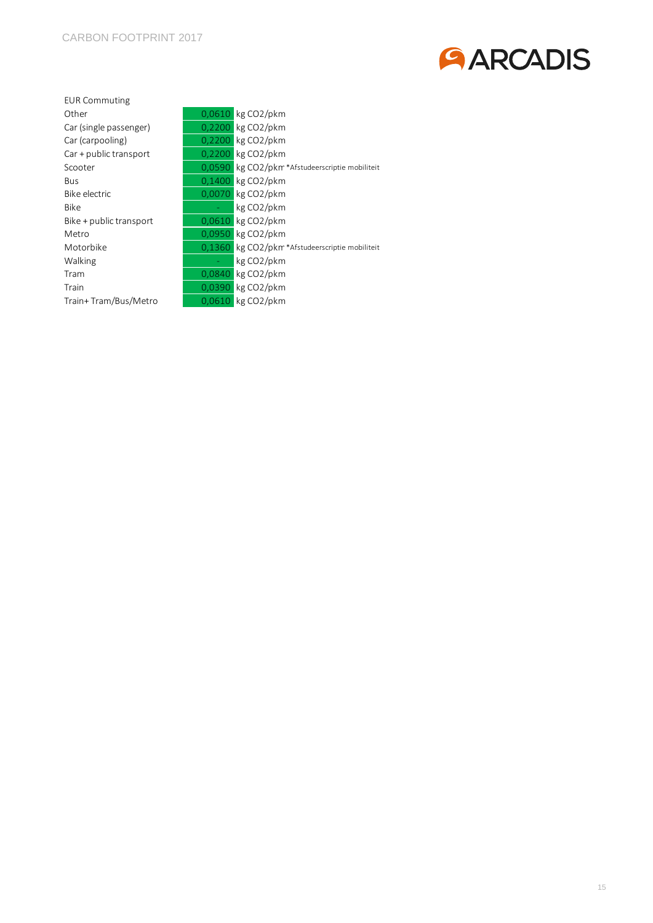

| <b>EUR Commuting</b>    |        |                                                |  |  |
|-------------------------|--------|------------------------------------------------|--|--|
| Other                   |        | 0,0610 kg CO2/pkm                              |  |  |
| Car (single passenger)  |        | $0,2200$ kg CO2/pkm                            |  |  |
| Car (carpooling)        |        | $0,2200$ kg CO2/pkm                            |  |  |
| Car + public transport  | 0.2200 | kg CO2/pkm                                     |  |  |
| Scooter                 |        | 0,0590 kg CO2/pkm*Afstudeerscriptie mobiliteit |  |  |
| <b>Bus</b>              |        | 0,1400 kg CO2/pkm                              |  |  |
| Bike electric           | 0.0070 | $\log CO2$ /pkm                                |  |  |
| <b>Bike</b>             |        | kg CO <sub>2</sub> /pkm                        |  |  |
| Bike + public transport | 0,0610 | kg CO2/pkm                                     |  |  |
| Metro                   |        | $0.0950$ kg CO2/pkm                            |  |  |
| Motorbike               |        | 0,1360 kg CO2/pkm*Afstudeerscriptie mobiliteit |  |  |
| Walking                 |        | kg CO2/pkm                                     |  |  |
| Tram                    | 0.0840 | $\log CO2$ /pkm                                |  |  |
| Train                   | 0.0390 | $\log CO2$ /pkm                                |  |  |
| Train+Tram/Bus/Metro    | 0,0610 | kg CO2/pkm                                     |  |  |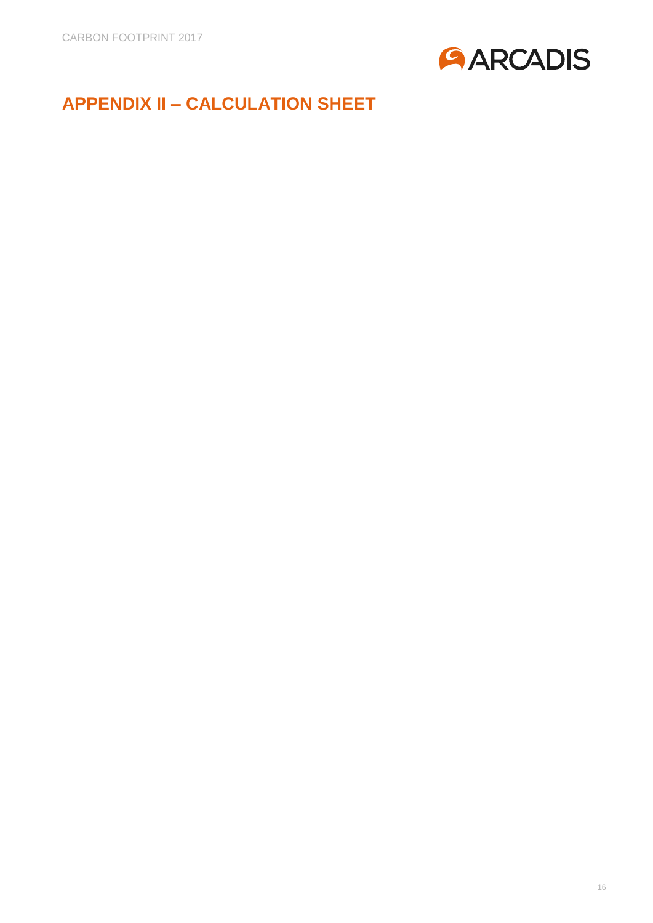

# <span id="page-15-0"></span>**APPENDIX II – CALCULATION SHEET**